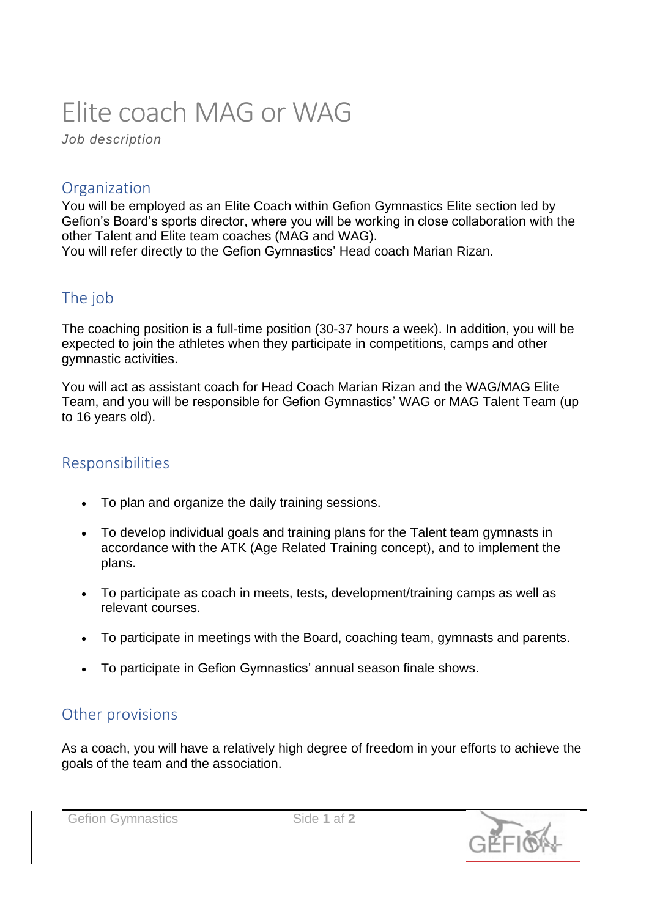# Elite coach MAG or WAG

*Job description*

#### **Organization**

You will be employed as an Elite Coach within Gefion Gymnastics Elite section led by Gefion's Board's sports director, where you will be working in close collaboration with the other Talent and Elite team coaches (MAG and WAG). You will refer directly to the Gefion Gymnastics' Head coach Marian Rizan.

#### The job

The coaching position is a full-time position (30-37 hours a week). In addition, you will be expected to join the athletes when they participate in competitions, camps and other gymnastic activities.

You will act as assistant coach for Head Coach Marian Rizan and the WAG/MAG Elite Team, and you will be responsible for Gefion Gymnastics' WAG or MAG Talent Team (up to 16 years old).

#### Responsibilities

- To plan and organize the daily training sessions.
- To develop individual goals and training plans for the Talent team gymnasts in accordance with the ATK (Age Related Training concept), and to implement the plans.
- To participate as coach in meets, tests, development/training camps as well as relevant courses.
- To participate in meetings with the Board, coaching team, gymnasts and parents.
- To participate in Gefion Gymnastics' annual season finale shows.

#### Other provisions

As a coach, you will have a relatively high degree of freedom in your efforts to achieve the goals of the team and the association.